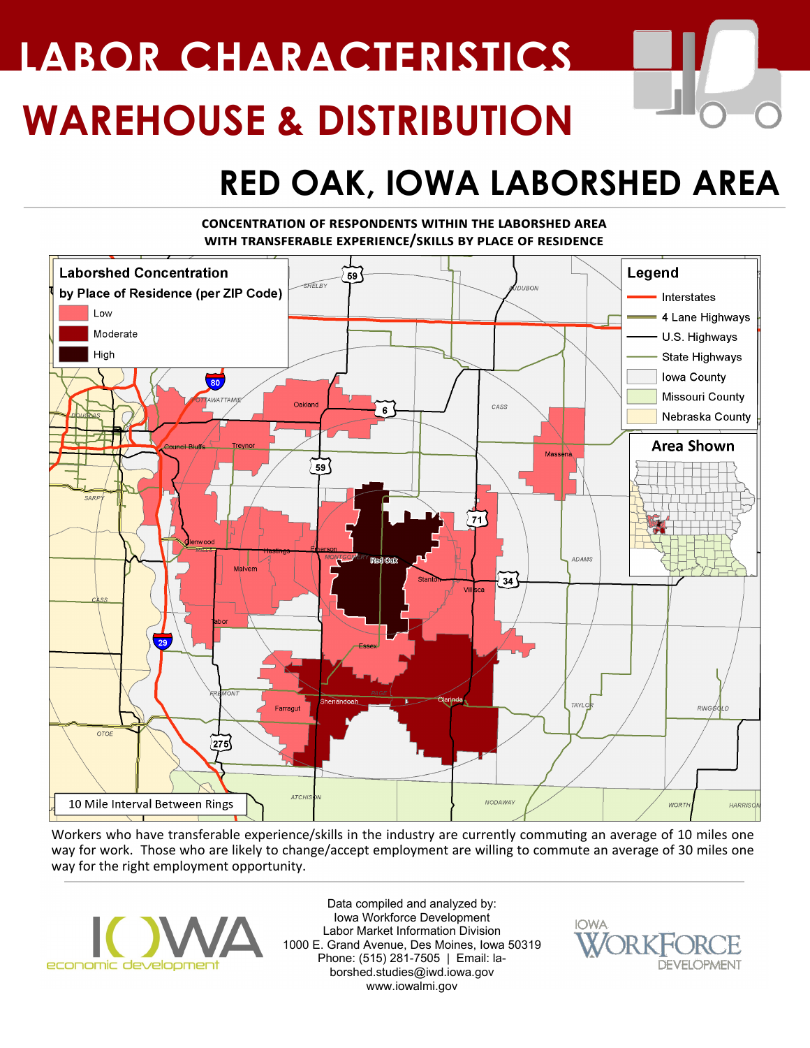# **WAREHOUSE & DISTRIBUTION LABOR CHARACTERISTICS**

## **RED OAK, IOWA LABORSHED AREA**

#### **concentration of respondents within the laborshed area with transferable experience/skills by place of residence**



Workers who have transferable experience/skills in the industry are currently commuting an average of 10 miles one way for work. Those who are likely to change/accept employment are willing to commute an average of 30 miles one way for the right employment opportunity.



Data compiled and analyzed by: Iowa Workforce Development Labor Market Information Division 1000 E. Grand Avenue, Des Moines, Iowa 50319 Phone: (515) 281-7505 | Email: laborshed.studies@iwd.iowa.gov www.iowalmi.gov

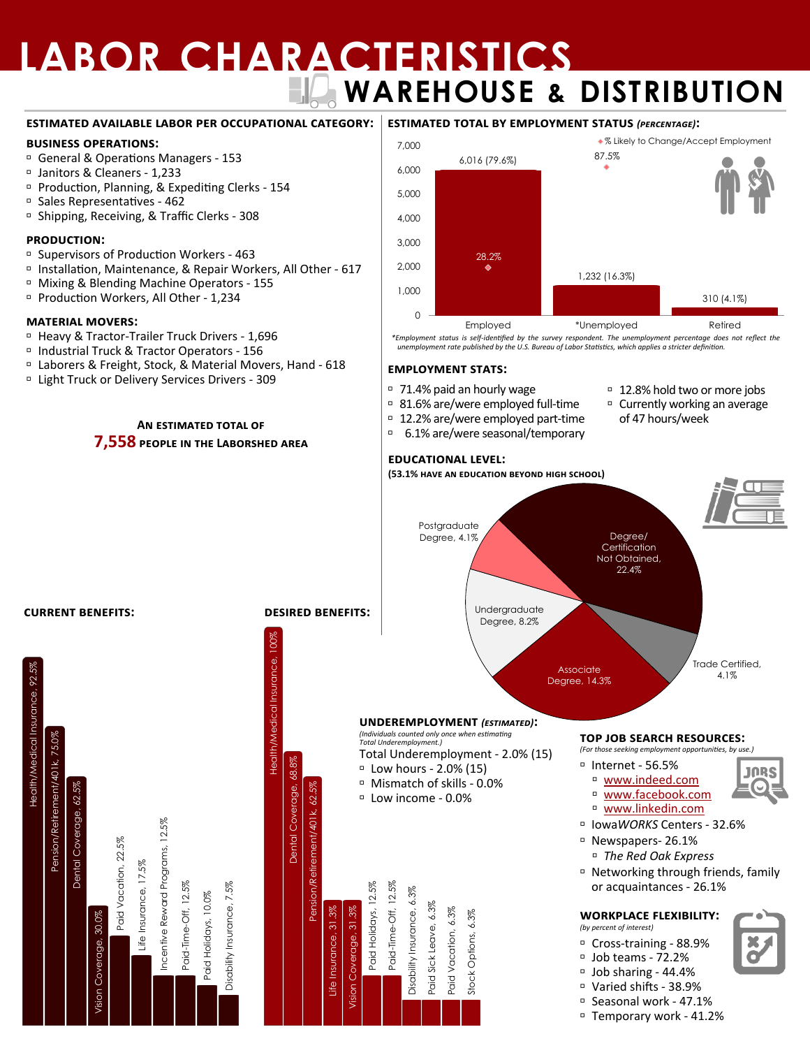# **LABOR CHARACTERISTICS WAREHOUSE & DISTRIBUTION**

#### **estimated available labor per occupational category:**

#### **business operations:**

- General & Operations Managers 153
- Janitors & Cleaners 1,233
- Production, Planning, & Expediting Clerks 154
- Sales Representatives 462
- <sup>D</sup> Shipping, Receiving, & Traffic Clerks 308

#### **production:**

- Supervisors of Production Workers 463
- Installation, Maintenance, & Repair Workers, All Other 617
- Mixing & Blending Machine Operators 155
- Production Workers, All Other 1,234

#### **material movers:**

Health/Medical Insurance, 92.5%

Insurance,

Health/Medical

Pension/Retirement/401k, 75.0%

Dental Coverage, 62.

Pension/Retirement/401k, 75.0%

- □ Heavy & Tractor-Trailer Truck Drivers 1,696
- Industrial Truck & Tractor Operators 156
- Laborers & Freight, Stock, & Material Movers, Hand 618
- Light Truck or Delivery Services Drivers 309

**An estimated total of 7,558 people in the Laborshed area**



*\*Employment status is self-identified by the survey respondent. The unemployment percentage does not reflect the unemployment rate published by the U.S. Bureau of Labor Statistics, which applies a stricter definition.*

#### **employment stats:**

- 71.4% paid an hourly wage
- 81.6% are/were employed full-time
- 12.2% are/were employed part-time
- 6.1% are/were seasonal/temporary

#### □ 12.8% hold two or more jobs

 Currently working an average of 47 hours/week